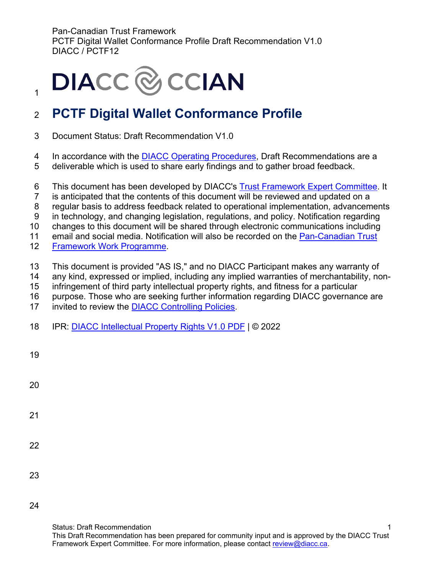# **DIACC** & CCIAN

### <sup>2</sup>**PCTF Digital Wallet Conformance Profile**

- 3 Document Status: Draft Recommendation V1.0
- 4 In accordance with the [DIACC Operating Procedures,](https://can01.safelinks.protection.outlook.com/?url=https%3A%2F%2Fdiacc.ca%2Fcontrolling-policies%2F&data=02%7C01%7Cerika.macphee%40becker-carroll.com%7Ced9a402501484c806da008d8036401f1%7Ce7e3e0637a104f0f9cbc2e661383895e%7C0%7C0%7C637263075353689765&sdata=Z7tlYHM1mBaA8Gk%2FLNeeJwmiIOzmoIdc9dukNrP9X7g%3D&reserved=0) Draft Recommendations are a
- 5 deliverable which is used to share early findings and to gather broad feedback.
- 6 This document has been developed by DIACC's [Trust Framework Expert Committee.](https://can01.safelinks.protection.outlook.com/?url=https%3A%2F%2Fdiacc.ca%2Fthe-diacc%2Fcommittees%2F&data=02%7C01%7Cerika.macphee%40becker-carroll.com%7Ced9a402501484c806da008d8036401f1%7Ce7e3e0637a104f0f9cbc2e661383895e%7C0%7C0%7C637263075353699761&sdata=SHRfl3oOrTTYFXiY1i4fXuB1aYTZkVlU3QB3l9%2BQCA8%3D&reserved=0) It
- 7 is anticipated that the contents of this document will be reviewed and updated on a
- 8 regular basis to address feedback related to operational implementation, advancements
- 9 in technology, and changing legislation, regulations, and policy. Notification regarding
- 10 changes to this document will be shared through electronic communications including
- 11 email and social media. Notification will also be recorded on the [Pan-Canadian Trust](https://can01.safelinks.protection.outlook.com/?url=https%3A%2F%2Fdiacc.ca%2Ftrust-framework%2F&data=02%7C01%7Cerika.macphee%40becker-carroll.com%7Ced9a402501484c806da008d8036401f1%7Ce7e3e0637a104f0f9cbc2e661383895e%7C0%7C0%7C637263075353699761&sdata=0a%2BY8j2y16CbIozJwC5%2FXcvvJLBKPrqwXcY2SlMnD%2FQ%3D&reserved=0)
- 12 [Framework Work Programme.](https://can01.safelinks.protection.outlook.com/?url=https%3A%2F%2Fdiacc.ca%2Ftrust-framework%2F&data=02%7C01%7Cerika.macphee%40becker-carroll.com%7Ced9a402501484c806da008d8036401f1%7Ce7e3e0637a104f0f9cbc2e661383895e%7C0%7C0%7C637263075353699761&sdata=0a%2BY8j2y16CbIozJwC5%2FXcvvJLBKPrqwXcY2SlMnD%2FQ%3D&reserved=0)
- 13 This document is provided "AS IS," and no DIACC Participant makes any warranty of
- 14 any kind, expressed or implied, including any implied warranties of merchantability, non-
- 15 infringement of third party intellectual property rights, and fitness for a particular
- 16 purpose. Those who are seeking further information regarding DIACC governance are
- 17 invited to review the [DIACC Controlling Policies.](https://can01.safelinks.protection.outlook.com/?url=https%3A%2F%2Fdiacc.ca%2Fcontrolling-policies%2F&data=02%7C01%7Cerika.macphee%40becker-carroll.com%7Ced9a402501484c806da008d8036401f1%7Ce7e3e0637a104f0f9cbc2e661383895e%7C0%7C0%7C637263075353709758&sdata=NueZpNK0sqSIJTTCDh88Q5OlqvoCMgmjAt052zTDRpI%3D&reserved=0)
- 18 IPR: [DIACC Intellectual Property Rights V1.0 PDF](https://diacc.ca/wp-content/uploads/2020/05/DIACC-Intellectual-Property-Rights-V1.pdf) | © 2022

| 19 |  |  |
|----|--|--|
| 20 |  |  |
| 21 |  |  |
| 22 |  |  |
| 23 |  |  |

24

1

Status: Draft Recommendation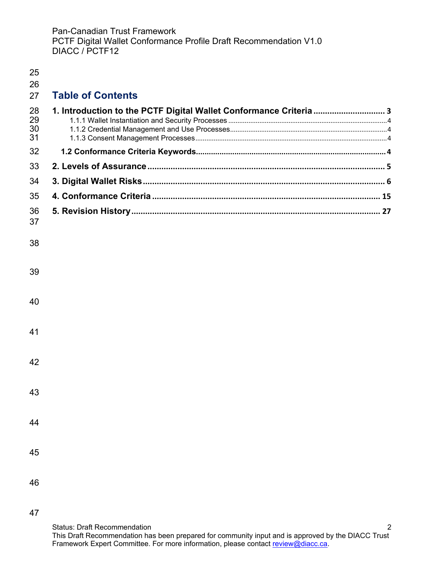| 25<br>26             |                                                                    |  |
|----------------------|--------------------------------------------------------------------|--|
| 27                   | <b>Table of Contents</b>                                           |  |
| 28<br>29<br>30<br>31 | 1. Introduction to the PCTF Digital Wallet Conformance Criteria  3 |  |
| 32                   |                                                                    |  |
| 33                   |                                                                    |  |
| 34                   |                                                                    |  |
| 35                   |                                                                    |  |
| 36<br>37             |                                                                    |  |
| 38                   |                                                                    |  |
| 39                   |                                                                    |  |
| 40                   |                                                                    |  |
| 41                   |                                                                    |  |
| 42                   |                                                                    |  |
| 43                   |                                                                    |  |
| 44                   |                                                                    |  |
| 45                   |                                                                    |  |
| 46                   |                                                                    |  |
|                      |                                                                    |  |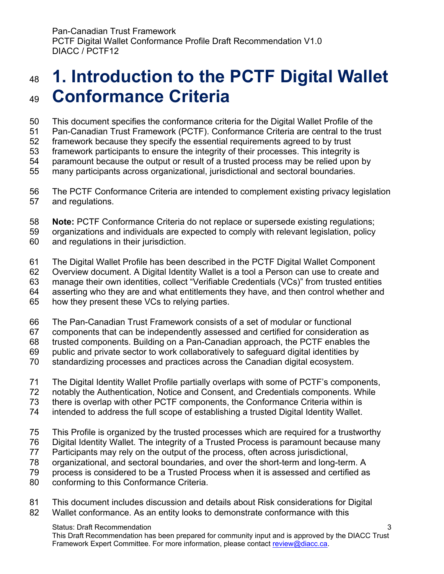### <span id="page-2-0"></span> **1. Introduction to the PCTF Digital Wallet Conformance Criteria**

This document specifies the conformance criteria for the Digital Wallet Profile of the

Pan-Canadian Trust Framework (PCTF). Conformance Criteria are central to the trust

framework because they specify the essential requirements agreed to by trust

framework participants to ensure the integrity of their processes. This integrity is

paramount because the output or result of a trusted process may be relied upon by

many participants across organizational, jurisdictional and sectoral boundaries.

 The PCTF Conformance Criteria are intended to complement existing privacy legislation and regulations.

**Note:** PCTF Conformance Criteria do not replace or supersede existing regulations;

 organizations and individuals are expected to comply with relevant legislation, policy and regulations in their jurisdiction.

The Digital Wallet Profile has been described in the PCTF Digital Wallet Component

Overview document. A Digital Identity Wallet is a tool a Person can use to create and

manage their own identities, collect "Verifiable Credentials (VCs)" from trusted entities

asserting who they are and what entitlements they have, and then control whether and

how they present these VCs to relying parties.

The Pan-Canadian Trust Framework consists of a set of modular or functional

components that can be independently assessed and certified for consideration as

trusted components. Building on a Pan-Canadian approach, the PCTF enables the

public and private sector to work collaboratively to safeguard digital identities by

standardizing processes and practices across the Canadian digital ecosystem.

The Digital Identity Wallet Profile partially overlaps with some of PCTF's components,

notably the Authentication, Notice and Consent, and Credentials components. While

there is overlap with other PCTF components, the Conformance Criteria within is

intended to address the full scope of establishing a trusted Digital Identity Wallet.

This Profile is organized by the trusted processes which are required for a trustworthy

Digital Identity Wallet. The integrity of a Trusted Process is paramount because many

Participants may rely on the output of the process, often across jurisdictional,

- organizational, and sectoral boundaries, and over the short-term and long-term. A
- process is considered to be a Trusted Process when it is assessed and certified as
- conforming to this Conformance Criteria.
- This document includes discussion and details about Risk considerations for Digital

Wallet conformance. As an entity looks to demonstrate conformance with this

#### Status: Draft Recommendation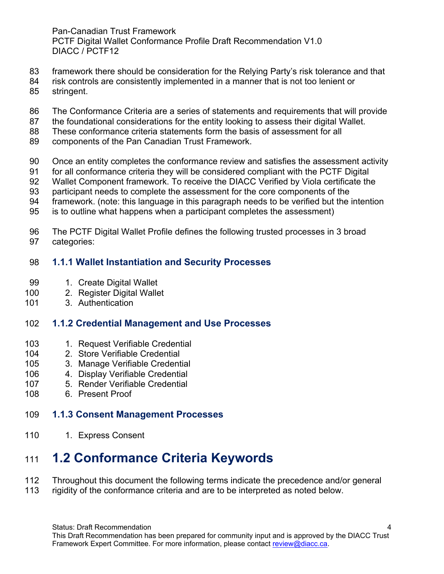- framework there should be consideration for the Relying Party's risk tolerance and that
- risk controls are consistently implemented in a manner that is not too lenient or
- stringent.
- The Conformance Criteria are a series of statements and requirements that will provide
- the foundational considerations for the entity looking to assess their digital Wallet.
- These conformance criteria statements form the basis of assessment for all
- components of the Pan Canadian Trust Framework.
- Once an entity completes the conformance review and satisfies the assessment activity
- for all conformance criteria they will be considered compliant with the PCTF Digital
- Wallet Component framework. To receive the DIACC Verified by Viola certificate the
- participant needs to complete the assessment for the core components of the
- framework. (note: this language in this paragraph needs to be verified but the intention
- is to outline what happens when a participant completes the assessment)
- The PCTF Digital Wallet Profile defines the following trusted processes in 3 broad categories:

#### <span id="page-3-0"></span>**1.1.1 Wallet Instantiation and Security Processes**

- 99 1. Create Digital Wallet
- 2. Register Digital Wallet
- 3. Authentication

#### <span id="page-3-1"></span>**1.1.2 Credential Management and Use Processes**

- 103 1. Request Verifiable Credential
- 2. Store Verifiable Credential
- 3. Manage Verifiable Credential
- 4. Display Verifiable Credential
- 5. Render Verifiable Credential
- 6. Present Proof

#### <span id="page-3-2"></span>**1.1.3 Consent Management Processes**

110 1. Express Consent

### <span id="page-3-3"></span>**1.2 Conformance Criteria Keywords**

- 112 Throughout this document the following terms indicate the precedence and/or general<br>113 rigidity of the conformance criteria and are to be interpreted as noted below.
- rigidity of the conformance criteria and are to be interpreted as noted below.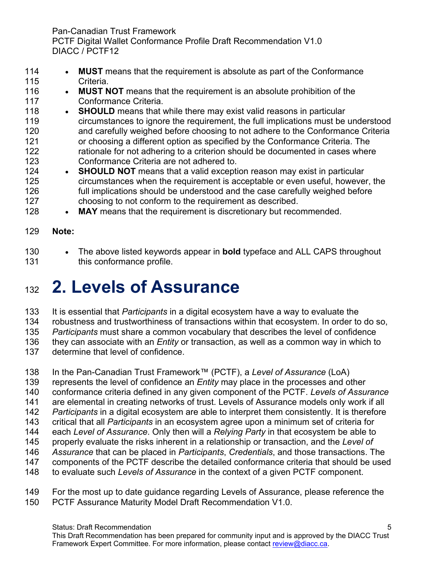- **MUST** means that the requirement is absolute as part of the Conformance Criteria.
- **MUST NOT** means that the requirement is an absolute prohibition of the Conformance Criteria.
- 118 **SHOULD** means that while there may exist valid reasons in particular circumstances to ignore the requirement, the full implications must be understood and carefully weighed before choosing to not adhere to the Conformance Criteria or choosing a different option as specified by the Conformance Criteria. The rationale for not adhering to a criterion should be documented in cases where Conformance Criteria are not adhered to.
- **SHOULD NOT** means that a valid exception reason may exist in particular circumstances when the requirement is acceptable or even useful, however, the full implications should be understood and the case carefully weighed before choosing to not conform to the requirement as described.
- 128 MAY means that the requirement is discretionary but recommended.
- **Note:**
- The above listed keywords appear in **bold** typeface and ALL CAPS throughout 131 this conformance profile.

## <span id="page-4-0"></span>**2. Levels of Assurance**

It is essential that *Participants* in a digital ecosystem have a way to evaluate the

robustness and trustworthiness of transactions within that ecosystem. In order to do so,

*Participants* must share a common vocabulary that describes the level of confidence

they can associate with an *Entity* or transaction, as well as a common way in which to

determine that level of confidence.

In the Pan-Canadian Trust Framework™ (PCTF), a *Level of Assurance* (LoA)

- represents the level of confidence an *Entity* may place in the processes and other
- conformance criteria defined in any given component of the PCTF. *Levels of Assurance*
- are elemental in creating networks of trust. Levels of Assurance models only work if all
- *Participants* in a digital ecosystem are able to interpret them consistently. It is therefore
- critical that all *Participants* in an ecosystem agree upon a minimum set of criteria for
- each *Level of Assurance*. Only then will a *Relying Party* in that ecosystem be able to
- properly evaluate the risks inherent in a relationship or transaction, and the *Level of Assurance* that can be placed in *Participants*, *Credentials*, and those transactions. The
- components of the PCTF describe the detailed conformance criteria that should be used
- to evaluate such *Levels of Assurance* in the context of a given PCTF component.
- For the most up to date guidance regarding Levels of Assurance, please reference the PCTF Assurance Maturity Model Draft Recommendation V1.0.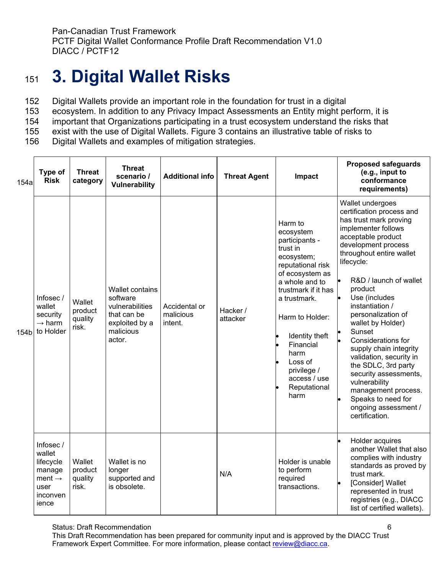## <span id="page-5-0"></span><sup>151</sup> **3. Digital Wallet Risks**

- 152 Digital Wallets provide an important role in the foundation for trust in a digital
- 153 ecosystem. In addition to any Privacy Impact Assessments an Entity might perform, it is
- 154 important that Organizations participating in a trust ecosystem understand the risks that
- 155 exist with the use of Digital Wallets. Figure 3 contains an illustrative table of risks to
- Digital Wallets and examples of mitigation strategies.

| 154a | Type of<br><b>Risk</b>                                                                       | <b>Threat</b><br>category             | <b>Threat</b><br>scenario /<br><b>Vulnerability</b>                                                           | <b>Additional info</b>                | <b>Threat Agent</b>  | Impact                                                                                                                                                                                                                                                                                        | <b>Proposed safeguards</b><br>(e.g., input to<br>conformance<br>requirements)                                                                                                                                                                                                                                                                                                                                                                                                                                                                          |
|------|----------------------------------------------------------------------------------------------|---------------------------------------|---------------------------------------------------------------------------------------------------------------|---------------------------------------|----------------------|-----------------------------------------------------------------------------------------------------------------------------------------------------------------------------------------------------------------------------------------------------------------------------------------------|--------------------------------------------------------------------------------------------------------------------------------------------------------------------------------------------------------------------------------------------------------------------------------------------------------------------------------------------------------------------------------------------------------------------------------------------------------------------------------------------------------------------------------------------------------|
| 154b | Infosec/<br>wallet<br>security<br>$\rightarrow$ harm<br>to Holder                            | Wallet<br>product<br>quality<br>risk. | <b>Wallet contains</b><br>software<br>vulnerabilities<br>that can be<br>exploited by a<br>malicious<br>actor. | Accidental or<br>malicious<br>intent. | Hacker /<br>attacker | Harm to<br>ecosystem<br>participants -<br>trust in<br>ecosystem;<br>reputational risk<br>of ecosystem as<br>a whole and to<br>trustmark if it has<br>a trustmark.<br>Harm to Holder:<br>Identity theft<br>Financial<br>harm<br>Loss of<br>privilege /<br>access / use<br>Reputational<br>harm | Wallet undergoes<br>certification process and<br>has trust mark proving<br>implementer follows<br>acceptable product<br>development process<br>throughout entire wallet<br>lifecycle:<br>R&D / launch of wallet<br>product<br>Use (includes<br>instantiation /<br>personalization of<br>wallet by Holder)<br>Sunset<br>Considerations for<br>supply chain integrity<br>validation, security in<br>the SDLC, 3rd party<br>security assessments,<br>vulnerability<br>management process.<br>Speaks to need for<br>ongoing assessment /<br>certification. |
|      | Infosec/<br>wallet<br>lifecycle<br>manage<br>ment $\rightarrow$<br>user<br>inconven<br>ience | Wallet<br>product<br>quality<br>risk. | Wallet is no<br>longer<br>supported and<br>is obsolete.                                                       |                                       | N/A                  | Holder is unable<br>to perform<br>required<br>transactions.                                                                                                                                                                                                                                   | Holder acquires<br>another Wallet that also<br>complies with industry<br>standards as proved by<br>trust mark.<br>[Consider] Wallet<br>represented in trust<br>registries (e.g., DIACC<br>list of certified wallets).                                                                                                                                                                                                                                                                                                                                  |

Status: Draft Recommendation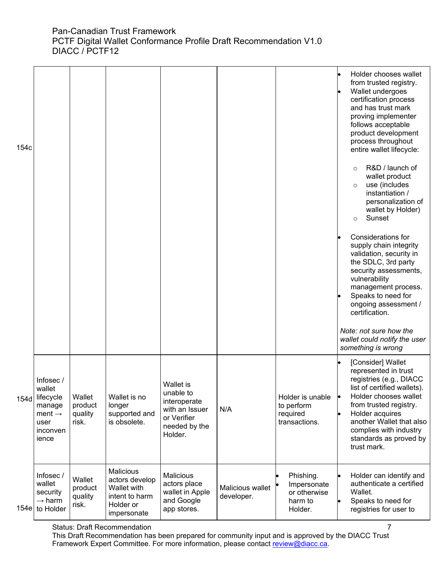| 154c |                                                                                              |                                       |                                                                                          |                                                                                                     |                                |                                                                | Holder chooses wallet<br>from trusted registry.<br>Wallet undergoes<br>certification process<br>and has trust mark<br>proving implementer<br>follows acceptable<br>product development<br>process throughout<br>entire wallet lifecycle:                                              |
|------|----------------------------------------------------------------------------------------------|---------------------------------------|------------------------------------------------------------------------------------------|-----------------------------------------------------------------------------------------------------|--------------------------------|----------------------------------------------------------------|---------------------------------------------------------------------------------------------------------------------------------------------------------------------------------------------------------------------------------------------------------------------------------------|
|      |                                                                                              |                                       |                                                                                          |                                                                                                     |                                |                                                                | R&D / launch of<br>wallet product<br>use (includes<br>$\circ$<br>instantiation /<br>personalization of<br>wallet by Holder)<br>Sunset<br>$\circ$                                                                                                                                      |
|      |                                                                                              |                                       |                                                                                          |                                                                                                     |                                |                                                                | Considerations for<br>supply chain integrity<br>validation, security in<br>the SDLC, 3rd party<br>security assessments,<br>vulnerability<br>management process.                                                                                                                       |
|      |                                                                                              |                                       |                                                                                          |                                                                                                     |                                |                                                                | Speaks to need for<br>ongoing assessment /<br>certification.                                                                                                                                                                                                                          |
|      |                                                                                              |                                       |                                                                                          |                                                                                                     |                                |                                                                | Note: not sure how the<br>wallet could notify the user<br>something is wrong                                                                                                                                                                                                          |
| 154d | Infosec/<br>wallet<br>lifecycle<br>manage<br>ment $\rightarrow$<br>user<br>inconven<br>ience | Wallet<br>product<br>quality<br>risk. | Wallet is no<br>longer<br>supported and<br>is obsolete.                                  | Wallet is<br>unable to<br>interoperate<br>with an Issuer<br>or Verifier<br>needed by the<br>Holder. | N/A                            | Holder is unable<br>to perform<br>required<br>transactions.    | [Consider] Wallet<br>represented in trust<br>registries (e.g., DIACC<br>list of certified wallets).<br>Holder chooses wallet<br><b>le</b><br>from trusted registry.<br>Holder acquires<br>another Wallet that also<br>complies with industry<br>standards as proved by<br>trust mark. |
| 154e | Infosec/<br>wallet<br>security<br>$\rightarrow$ harm<br>to Holder                            | Wallet<br>product<br>quality<br>risk. | Malicious<br>actors develop<br>Wallet with<br>intent to harm<br>Holder or<br>impersonate | <b>Malicious</b><br>actors place<br>wallet in Apple<br>and Google<br>app stores.                    | Malicious wallet<br>developer. | Phishing.<br>Impersonate<br>or otherwise<br>harm to<br>Holder. | Holder can identify and<br>authenticate a certified<br>Wallet.<br>Speaks to need for<br>le<br>registries for user to                                                                                                                                                                  |

#### Status: Draft Recommendation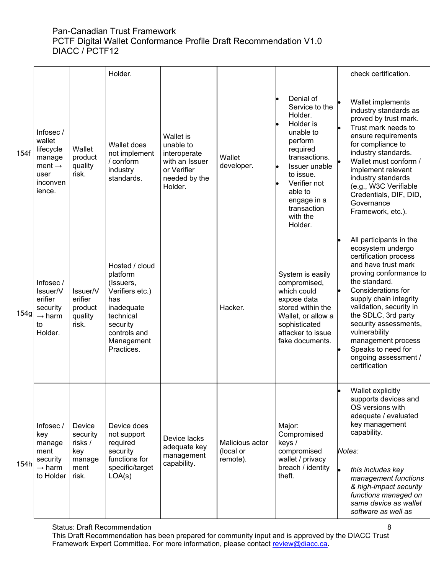|      |                                                                                                |                                                                 | Holder.                                                                                                                                              |                                                                                                     |                                          |                                                                                                                                                                                                                        | check certification.                                                                                                                                                                                                                                                                                                                                                     |
|------|------------------------------------------------------------------------------------------------|-----------------------------------------------------------------|------------------------------------------------------------------------------------------------------------------------------------------------------|-----------------------------------------------------------------------------------------------------|------------------------------------------|------------------------------------------------------------------------------------------------------------------------------------------------------------------------------------------------------------------------|--------------------------------------------------------------------------------------------------------------------------------------------------------------------------------------------------------------------------------------------------------------------------------------------------------------------------------------------------------------------------|
| 154f | Infosec /<br>wallet<br>lifecycle<br>manage<br>ment $\rightarrow$<br>user<br>inconven<br>ience. | Wallet<br>product<br>quality<br>risk.                           | Wallet does<br>not implement<br>/ conform<br>industry<br>standards.                                                                                  | Wallet is<br>unable to<br>interoperate<br>with an Issuer<br>or Verifier<br>needed by the<br>Holder. | Wallet<br>developer.                     | Denial of<br>Service to the<br>Holder.<br>Holder is<br>unable to<br>perform<br>required<br>transactions.<br>Issuer unable<br>to issue.<br>Verifier not<br>able to<br>engage in a<br>transaction<br>with the<br>Holder. | Wallet implements<br>industry standards as<br>proved by trust mark.<br>Trust mark needs to<br>ensure requirements<br>for compliance to<br>industry standards.<br>Wallet must conform /<br>implement relevant<br>industry standards<br>(e.g., W3C Verifiable<br>Credentials, DIF, DID,<br>Governance<br>Framework, etc.).                                                 |
| 154g | Infosec /<br>Issuer/V<br>erifier<br>security<br>$\rightarrow$ harm<br>to<br>Holder.            | Issuer/V<br>erifier<br>product<br>quality<br>risk.              | Hosted / cloud<br>platform<br>(Issuers,<br>Verifiers etc.)<br>has<br>inadequate<br>technical<br>security<br>controls and<br>Management<br>Practices. |                                                                                                     | Hacker.                                  | System is easily<br>compromised,<br>which could<br>expose data<br>stored within the<br>Wallet, or allow a<br>sophisticated<br>attacker to issue<br>fake documents.                                                     | All participants in the<br>ecosystem undergo<br>certification process<br>and have trust mark<br>proving conformance to<br>the standard.<br>Considerations for<br>supply chain integrity<br>validation, security in<br>the SDLC, 3rd party<br>security assessments,<br>vulnerability<br>management process<br>Speaks to need for<br>ongoing assessment /<br>certification |
| 154h | Infosec/<br>key<br>manage<br>ment<br>security<br>$\rightarrow$ harm<br>to Holder               | Device<br>security<br>risks /<br>key<br>manage<br>ment<br>risk. | Device does<br>not support<br>required<br>security<br>functions for<br>specific/target<br>LOA(s)                                                     | Device lacks<br>adequate key<br>management<br>capability.                                           | Malicious actor<br>(local or<br>remote). | Major:<br>Compromised<br>keys /<br>compromised<br>wallet / privacy<br>breach / identity<br>theft.                                                                                                                      | Wallet explicitly<br>supports devices and<br>OS versions with<br>adequate / evaluated<br>key management<br>capability.<br>Notes:<br>this includes key<br>management functions<br>& high-impact security<br>functions managed on<br>same device as wallet<br>software as well as                                                                                          |

Status: Draft Recommendation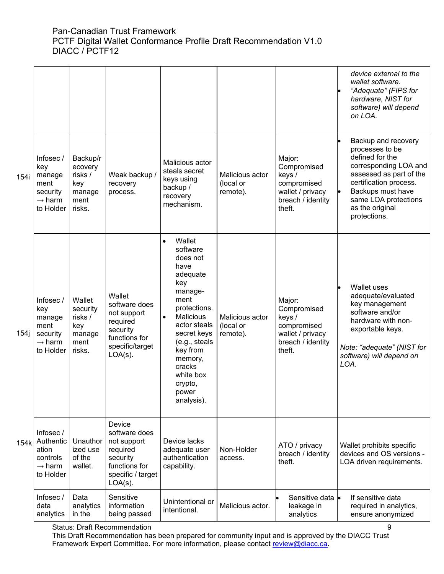| Backup and recovery<br>processes to be<br>defined for the<br>Infosec /<br>Backup/r<br>Major:<br>Malicious actor<br>Compromised<br>ecovery<br>key<br>steals secret<br>assessed as part of the<br>risks /<br>Malicious actor<br>Weak backup /<br>keys /<br>manage<br>keys using<br>certification process.<br>(local or<br>ment<br>recovery<br>compromised<br>key<br>backup /<br>Backups must have<br>wallet / privacy<br>l.<br>remote).<br>security<br>manage<br>process.<br>recovery<br>same LOA protections<br>$\rightarrow$ harm<br>breach / identity<br>ment<br>mechanism.<br>as the original<br>risks.<br>theft.<br>to Holder<br>protections.<br>Wallet<br>$\bullet$<br>software<br>does not<br>have<br>adequate<br>key<br><b>Wallet uses</b><br>manage-<br>adequate/evaluated<br>Wallet<br>ment<br>Infosec /<br>Wallet<br>Major:<br>key management<br>software does<br>protections.<br>key<br>Compromised<br>security<br>software and/or<br>not support<br><b>Malicious</b><br>risks /<br>$\bullet$<br>Malicious actor<br>keys /<br>manage<br>hardware with non-<br>required<br>actor steals<br>(local or<br>compromised<br>key<br>ment<br>exportable keys.<br>security<br>secret keys<br>wallet / privacy<br>security<br>remote).<br>manage<br>functions for<br>(e.g., steals<br>breach / identity<br>$\rightarrow$ harm<br>ment<br>specific/target<br>key from<br>theft.<br>to Holder<br>risks.<br>$LOA(s)$ .<br>software) will depend on<br>memory,<br>LOA.<br>cracks<br>white box<br>crypto,<br>power<br>analysis).<br>Device<br>software does<br>Infosec /<br>Authentic<br>Device lacks<br>Unauthor<br>not support<br>ATO / privacy<br>Wallet prohibits specific<br>ized use<br>adequate user<br>Non-Holder<br>ation<br>required<br>devices and OS versions -<br>breach / identity<br>of the<br>authentication<br>security<br>controls<br>access.<br>LOA driven requirements.<br>theft.<br>functions for<br>$\rightarrow$ harm<br>wallet.<br>capability.<br>to Holder<br>specific / target<br>$LOA(s)$ .<br>Sensitive<br>Infosec/<br>Data<br>Sensitive data  •<br>If sensitive data<br>Unintentional or<br>analytics<br>information<br>Malicious actor.<br>data<br>leakage in<br>required in analytics,<br>intentional.<br>in the<br>analytics<br>being passed<br>analytics<br>ensure anonymized<br><b>Status: Draft Recommendation</b><br>9 |      |  |  |  | device external to the<br>wallet software.<br>"Adequate" (FIPS for<br>hardware, NIST for<br>software) will depend<br>on LOA. |
|-------------------------------------------------------------------------------------------------------------------------------------------------------------------------------------------------------------------------------------------------------------------------------------------------------------------------------------------------------------------------------------------------------------------------------------------------------------------------------------------------------------------------------------------------------------------------------------------------------------------------------------------------------------------------------------------------------------------------------------------------------------------------------------------------------------------------------------------------------------------------------------------------------------------------------------------------------------------------------------------------------------------------------------------------------------------------------------------------------------------------------------------------------------------------------------------------------------------------------------------------------------------------------------------------------------------------------------------------------------------------------------------------------------------------------------------------------------------------------------------------------------------------------------------------------------------------------------------------------------------------------------------------------------------------------------------------------------------------------------------------------------------------------------------------------------------------------------------------------------------------------------------------------------------------------------------------------------------------------------------------------------------------------------------------------------------------------------------------------------------------------------------------------------------------------------------------------------------------------------------------------------------------------------------------------------------------------------------------------|------|--|--|--|------------------------------------------------------------------------------------------------------------------------------|
| 154i<br>154k                                                                                                                                                                                                                                                                                                                                                                                                                                                                                                                                                                                                                                                                                                                                                                                                                                                                                                                                                                                                                                                                                                                                                                                                                                                                                                                                                                                                                                                                                                                                                                                                                                                                                                                                                                                                                                                                                                                                                                                                                                                                                                                                                                                                                                                                                                                                          | 154i |  |  |  | corresponding LOA and                                                                                                        |
|                                                                                                                                                                                                                                                                                                                                                                                                                                                                                                                                                                                                                                                                                                                                                                                                                                                                                                                                                                                                                                                                                                                                                                                                                                                                                                                                                                                                                                                                                                                                                                                                                                                                                                                                                                                                                                                                                                                                                                                                                                                                                                                                                                                                                                                                                                                                                       |      |  |  |  | Note: "adequate" (NIST for                                                                                                   |
|                                                                                                                                                                                                                                                                                                                                                                                                                                                                                                                                                                                                                                                                                                                                                                                                                                                                                                                                                                                                                                                                                                                                                                                                                                                                                                                                                                                                                                                                                                                                                                                                                                                                                                                                                                                                                                                                                                                                                                                                                                                                                                                                                                                                                                                                                                                                                       |      |  |  |  |                                                                                                                              |
|                                                                                                                                                                                                                                                                                                                                                                                                                                                                                                                                                                                                                                                                                                                                                                                                                                                                                                                                                                                                                                                                                                                                                                                                                                                                                                                                                                                                                                                                                                                                                                                                                                                                                                                                                                                                                                                                                                                                                                                                                                                                                                                                                                                                                                                                                                                                                       |      |  |  |  |                                                                                                                              |

Status: Draft Recommendation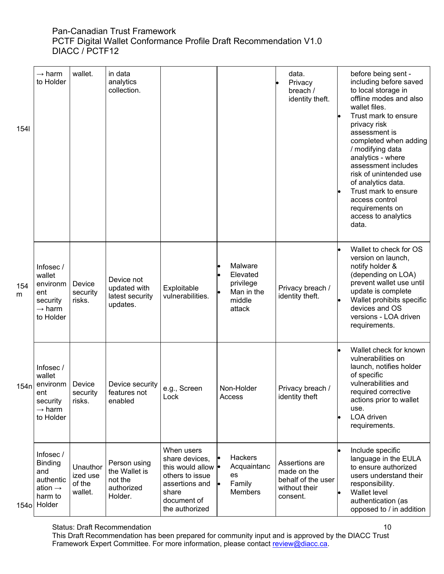| 1541     | $\rightarrow$ harm<br>to Holder                                                             | wallet.                                   | in data<br>analytics<br>collection.                               |                                                                                                                                           |                                                                    | data.<br>Privacy<br>breach /<br>identity theft.                                  | before being sent -<br>including before saved<br>to local storage in<br>offline modes and also<br>wallet files.<br>Trust mark to ensure<br>privacy risk<br>assessment is<br>completed when adding<br>/ modifying data<br>analytics - where<br>assessment includes<br>risk of unintended use<br>of analytics data.<br>Trust mark to ensure<br>access control<br>requirements on<br>access to analytics<br>data. |
|----------|---------------------------------------------------------------------------------------------|-------------------------------------------|-------------------------------------------------------------------|-------------------------------------------------------------------------------------------------------------------------------------------|--------------------------------------------------------------------|----------------------------------------------------------------------------------|----------------------------------------------------------------------------------------------------------------------------------------------------------------------------------------------------------------------------------------------------------------------------------------------------------------------------------------------------------------------------------------------------------------|
| 154<br>m | Infosec/<br>wallet<br>environm<br>ent<br>security<br>$\rightarrow$ harm<br>to Holder        | Device<br>security<br>risks.              | Device not<br>updated with<br>latest security<br>updates.         | Exploitable<br>vulnerabilities.                                                                                                           | Malware<br>Elevated<br>privilege<br>Man in the<br>middle<br>attack | Privacy breach /<br>identity theft.                                              | Wallet to check for OS<br>version on launch,<br>notify holder &<br>(depending on LOA)<br>prevent wallet use until<br>update is complete<br>Wallet prohibits specific<br>devices and OS<br>versions - LOA driven<br>requirements.                                                                                                                                                                               |
| 154n     | Infosec/<br>wallet<br>environm<br>ent<br>security<br>$\rightarrow$ harm<br>to Holder        | Device<br>security<br>risks.              | Device security<br>features not<br>enabled                        | e.g., Screen<br>Lock                                                                                                                      | Non-Holder<br>Access                                               | Privacy breach /<br>identity theft                                               | Wallet check for known<br>vulnerabilities on<br>launch, notifies holder<br>of specific<br>vulnerabilities and<br>required corrective<br>actions prior to wallet<br>use.<br>LOA driven<br>requirements.                                                                                                                                                                                                         |
| 154ol    | Infosec /<br><b>Binding</b><br>and<br>authentic<br>ation $\rightarrow$<br>harm to<br>Holder | Unauthor<br>ized use<br>of the<br>wallet. | Person using<br>the Wallet is<br>not the<br>authorized<br>Holder. | When users<br>share devices,<br>this would allow $\bullet$<br>others to issue<br>assertions and<br>share<br>document of<br>the authorized | Hackers<br>Acquaintanc<br>es<br>Family<br>Members                  | Assertions are<br>made on the<br>behalf of the user<br>without their<br>consent. | Include specific<br>language in the EULA<br>to ensure authorized<br>users understand their<br>responsibility.<br>Wallet level<br>authentication (as<br>opposed to / in addition                                                                                                                                                                                                                                |

#### Status: Draft Recommendation

This Draft Recommendation has been prepared for community input and is approved by the DIACC Trust Framework Expert Committee. For more information, please contact <u>review@diacc.ca</u>.

10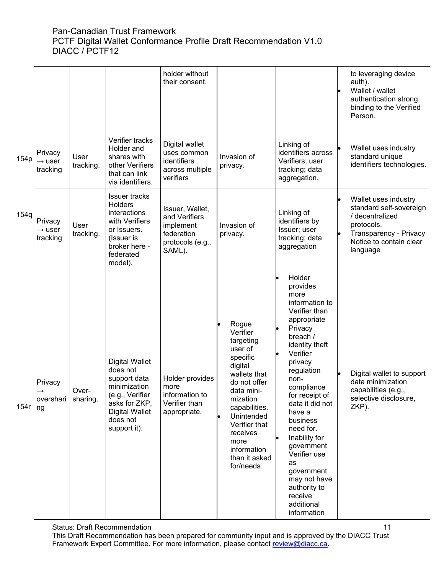|      |                                           |                   |                                                                                                                                                            | holder without<br>their consent.                                                          |                                                                                                                                                                                                                                                                        |                                                                                                                                                                                                                                                                                                                                                                                                     | to leveraging device<br>auth).<br>Wallet / wallet<br>authentication strong<br>binding to the Verified<br>Person.                                  |
|------|-------------------------------------------|-------------------|------------------------------------------------------------------------------------------------------------------------------------------------------------|-------------------------------------------------------------------------------------------|------------------------------------------------------------------------------------------------------------------------------------------------------------------------------------------------------------------------------------------------------------------------|-----------------------------------------------------------------------------------------------------------------------------------------------------------------------------------------------------------------------------------------------------------------------------------------------------------------------------------------------------------------------------------------------------|---------------------------------------------------------------------------------------------------------------------------------------------------|
| 154p | Privacy<br>$\rightarrow$ user<br>tracking | User<br>tracking. | Verifier tracks<br>Holder and<br>shares with<br>other Verifiers<br>that can link<br>via identifiers.                                                       | Digital wallet<br>uses common<br>identifiers<br>across multiple<br>verifiers              | Invasion of<br>privacy.                                                                                                                                                                                                                                                | Linking of<br>identifiers across<br>Verifiers; user<br>tracking; data<br>aggregation.                                                                                                                                                                                                                                                                                                               | Wallet uses industry<br>standard unique<br>identifiers technologies.                                                                              |
| 154q | Privacy<br>$\rightarrow$ user<br>tracking | User<br>tracking. | Issuer tracks<br>Holders<br>interactions<br>with Verifiers<br>or Issuers.<br>(Issuer is<br>broker here -<br>federated<br>model).                           | Issuer, Wallet,<br>and Verifiers<br>implement<br>federation<br>protocols (e.g.,<br>SAML). | Invasion of<br>privacy.                                                                                                                                                                                                                                                | Linking of<br>identifiers by<br>Issuer; user<br>tracking; data<br>aggregation                                                                                                                                                                                                                                                                                                                       | Wallet uses industry<br>standard self-sovereign<br>/ decentralized<br>protocols.<br>Transparency - Privacy<br>Notice to contain clear<br>language |
| 154r | Privacy<br>overshari<br>ng                | Over-<br>sharing. | <b>Digital Wallet</b><br>does not<br>support data<br>minimization<br>(e.g., Verifier<br>asks for ZKP,<br><b>Digital Wallet</b><br>does not<br>support it). | Holder provides<br>more<br>information to<br>Verifier than<br>appropriate.                | Rogue<br>$\bullet$<br>Verifier<br>targeting<br>user of<br>specific<br>digital<br>wallets that<br>do not offer<br>data mini-<br>mization<br>capabilities.<br>$\bullet$<br>Unintended<br>Verifier that<br>receives<br>more<br>information<br>than it asked<br>for/needs. | Holder<br>provides<br>more<br>information to<br>Verifier than<br>appropriate<br>Privacy<br>breach /<br>identity theft<br>Verifier<br>privacy<br>regulation<br>non-<br>compliance<br>for receipt of<br>data it did not<br>have a<br>business<br>need for.<br>Inability for<br>government<br>Verifier use<br>as<br>government<br>may not have<br>authority to<br>receive<br>additional<br>information | Digital wallet to support<br>data minimization<br>capabilities (e.g.,<br>selective disclosure,<br>ZKP).                                           |

Status: Draft Recommendation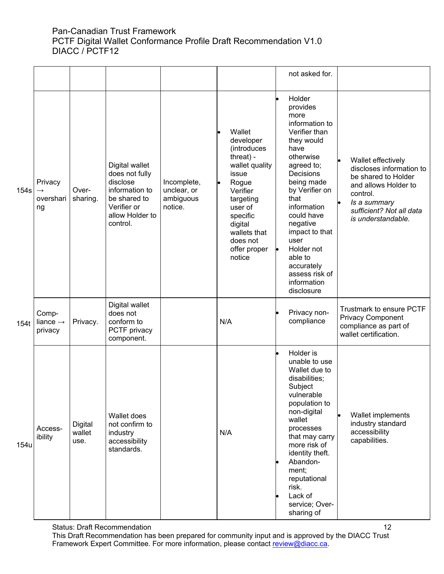|      |                                             |                           |                                                                                                                              |                                                    |                                                                                                                                                                                                      | not asked for.                                                                                                                                                                                                                                                                                                               |                                                                                                                                                                             |
|------|---------------------------------------------|---------------------------|------------------------------------------------------------------------------------------------------------------------------|----------------------------------------------------|------------------------------------------------------------------------------------------------------------------------------------------------------------------------------------------------------|------------------------------------------------------------------------------------------------------------------------------------------------------------------------------------------------------------------------------------------------------------------------------------------------------------------------------|-----------------------------------------------------------------------------------------------------------------------------------------------------------------------------|
| 154s | Privacy<br>$\rightarrow$<br>overshari<br>ng | Over-<br>sharing.         | Digital wallet<br>does not fully<br>disclose<br>information to<br>be shared to<br>Verifier or<br>allow Holder to<br>control. | Incomplete,<br>unclear, or<br>ambiguous<br>notice. | Wallet<br>developer<br>(introduces<br>threat) -<br>wallet quality<br>issue<br>Rogue<br>Verifier<br>targeting<br>user of<br>specific<br>digital<br>wallets that<br>does not<br>offer proper<br>notice | Holder<br>provides<br>more<br>information to<br>Verifier than<br>they would<br>have<br>otherwise<br>agreed to;<br>Decisions<br>being made<br>by Verifier on<br>that<br>information<br>could have<br>negative<br>impact to that<br>user<br>Holder not<br>able to<br>accurately<br>assess risk of<br>information<br>disclosure | Wallet effectively<br>discloses information to<br>be shared to Holder<br>and allows Holder to<br>control.<br>Is a summary<br>sufficient? Not all data<br>is understandable. |
| 154t | Comp-<br>liance $\rightarrow$<br>privacy    | Privacy.                  | Digital wallet<br>does not<br>conform to<br>PCTF privacy<br>component.                                                       |                                                    | N/A                                                                                                                                                                                                  | Privacy non-<br>compliance                                                                                                                                                                                                                                                                                                   | Trustmark to ensure PCTF<br><b>Privacy Component</b><br>compliance as part of<br>wallet certification.                                                                      |
| 154u | Access-<br>ibility                          | Digital<br>wallet<br>use. | Wallet does<br>not confirm to<br>industry<br>accessibility<br>standards.                                                     |                                                    | N/A                                                                                                                                                                                                  | Holder is<br>unable to use<br>Wallet due to<br>disabilities;<br>Subject<br>vulnerable<br>population to<br>non-digital<br>wallet<br>processes<br>that may carry<br>more risk of<br>identity theft.<br>Abandon-<br>ment;<br>reputational<br>risk.<br>Lack of<br>service; Over-<br>sharing of                                   | Wallet implements<br>industry standard<br>accessibility<br>capabilities.                                                                                                    |

Status: Draft Recommendation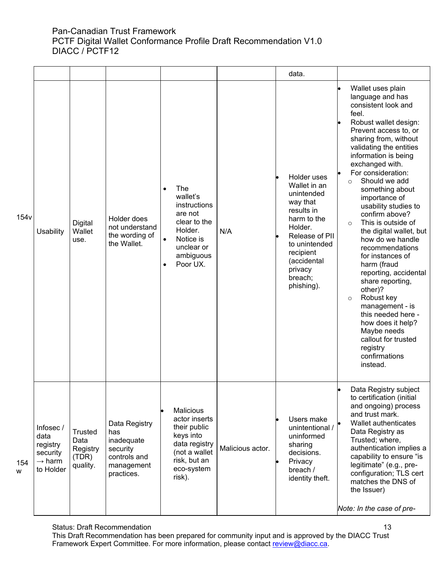|                  |                                                                             |                                                  |                                                                                            |                                                                                                                                                                  |                  | data.                                                                                                                                                                                            |                                                                                                                                                                                                                                                                                                                                                                                                                                                                                                                                                                                                                                                                                                                             |
|------------------|-----------------------------------------------------------------------------|--------------------------------------------------|--------------------------------------------------------------------------------------------|------------------------------------------------------------------------------------------------------------------------------------------------------------------|------------------|--------------------------------------------------------------------------------------------------------------------------------------------------------------------------------------------------|-----------------------------------------------------------------------------------------------------------------------------------------------------------------------------------------------------------------------------------------------------------------------------------------------------------------------------------------------------------------------------------------------------------------------------------------------------------------------------------------------------------------------------------------------------------------------------------------------------------------------------------------------------------------------------------------------------------------------------|
| 154 <sub>v</sub> | Usability                                                                   | Digital<br>Wallet<br>use.                        | Holder does<br>not understand<br>the wording of<br>the Wallet.                             | The<br>$\bullet$<br>wallet's<br>instructions<br>are not<br>clear to the<br>Holder.<br>Notice is<br>$\bullet$<br>unclear or<br>ambiguous<br>Poor UX.<br>$\bullet$ | N/A              | Holder uses<br>Wallet in an<br>unintended<br>way that<br>results in<br>harm to the<br>Holder.<br>Release of PII<br>to unintended<br>recipient<br>(accidental<br>privacy<br>breach;<br>phishing). | Wallet uses plain<br>language and has<br>consistent look and<br>feel.<br>Robust wallet design:<br>Prevent access to, or<br>sharing from, without<br>validating the entities<br>information is being<br>exchanged with.<br>For consideration:<br>Should we add<br>$\Omega$<br>something about<br>importance of<br>usability studies to<br>confirm above?<br>This is outside of<br>$\circ$<br>the digital wallet, but<br>how do we handle<br>recommendations<br>for instances of<br>harm (fraud<br>reporting, accidental<br>share reporting,<br>other)?<br>Robust key<br>$\circ$<br>management - is<br>this needed here -<br>how does it help?<br>Maybe needs<br>callout for trusted<br>registry<br>confirmations<br>instead. |
| 154<br>w         | Infosec/<br>data<br>registry<br>security<br>$\rightarrow$ harm<br>to Holder | Trusted<br>Data<br>Registry<br>(TDR)<br>quality. | Data Registry<br>has<br>inadequate<br>security<br>controls and<br>management<br>practices. | <b>Malicious</b><br>actor inserts<br>their public<br>keys into<br>data registry<br>(not a wallet<br>risk, but an<br>eco-system<br>risk).                         | Malicious actor. | Users make<br>unintentional /<br>uninformed<br>sharing<br>decisions.<br>Privacy<br>breach /<br>identity theft.                                                                                   | Data Registry subject<br>to certification (initial<br>and ongoing) process<br>and trust mark.<br>Wallet authenticates<br>Data Registry as<br>Trusted; where,<br>authentication implies a<br>capability to ensure "is<br>legitimate" (e.g., pre-<br>configuration; TLS cert<br>matches the DNS of<br>the Issuer)<br>Note: In the case of pre-                                                                                                                                                                                                                                                                                                                                                                                |

Status: Draft Recommendation

This Draft Recommendation has been prepared for community input and is approved by the DIACC Trust Framework Expert Committee. For more information, please contact <u>review@diacc.ca</u>.

13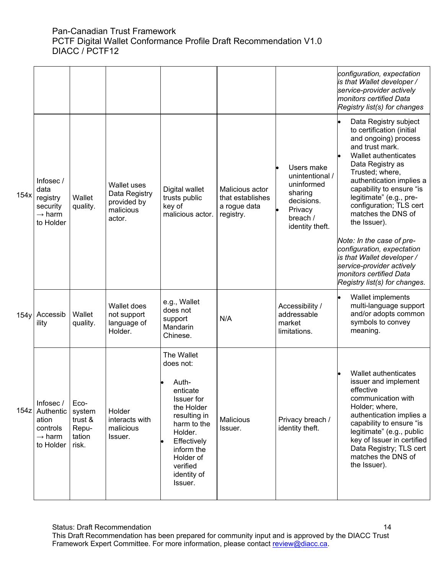|      |                                                                                |                                                       |                                                                           |                                                                                                                                                                                                           |                                                                  |                                                                                                                | configuration, expectation<br>is that Wallet developer /<br>service-provider actively<br>monitors certified Data<br>Registry list(s) for changes                                                                                                                                                                                                                                                                                                                                                   |
|------|--------------------------------------------------------------------------------|-------------------------------------------------------|---------------------------------------------------------------------------|-----------------------------------------------------------------------------------------------------------------------------------------------------------------------------------------------------------|------------------------------------------------------------------|----------------------------------------------------------------------------------------------------------------|----------------------------------------------------------------------------------------------------------------------------------------------------------------------------------------------------------------------------------------------------------------------------------------------------------------------------------------------------------------------------------------------------------------------------------------------------------------------------------------------------|
| 154x | Infosec/<br>data<br>registry<br>security<br>$\rightarrow$ harm<br>to Holder    | Wallet<br>quality.                                    | <b>Wallet uses</b><br>Data Registry<br>provided by<br>malicious<br>actor. | Digital wallet<br>trusts public<br>key of<br>malicious actor.                                                                                                                                             | Malicious actor<br>that establishes<br>a rogue data<br>registry. | Users make<br>unintentional /<br>uninformed<br>sharing<br>decisions.<br>Privacy<br>breach /<br>identity theft. | Data Registry subject<br>to certification (initial<br>and ongoing) process<br>and trust mark.<br>Wallet authenticates<br>Data Registry as<br>Trusted; where,<br>authentication implies a<br>capability to ensure "is<br>legitimate" (e.g., pre-<br>configuration; TLS cert<br>matches the DNS of<br>the Issuer).<br>Note: In the case of pre-<br>configuration, expectation<br>is that Wallet developer /<br>service-provider actively<br>monitors certified Data<br>Registry list(s) for changes. |
| 154y | Accessib<br>ility                                                              | Wallet<br>quality.                                    | Wallet does<br>not support<br>language of<br>Holder.                      | e.g., Wallet<br>does not<br>support<br>Mandarin<br>Chinese.                                                                                                                                               | N/A                                                              | Accessibility /<br>addressable<br>market<br>limitations.                                                       | Wallet implements<br>multi-language support<br>and/or adopts common<br>symbols to convey<br>meaning.                                                                                                                                                                                                                                                                                                                                                                                               |
| 154z | Infosec /<br>Authentic<br>ation<br>controls<br>$\rightarrow$ harm<br>to Holder | Eco-<br>system<br>trust &<br>Repu-<br>tation<br>risk. | Holder<br>interacts with<br>malicious<br>Issuer.                          | The Wallet<br>does not:<br>Auth-<br>enticate<br><b>Issuer</b> for<br>the Holder<br>resulting in<br>harm to the<br>Holder.<br>Effectively<br>inform the<br>Holder of<br>verified<br>identity of<br>Issuer. | Malicious<br>Issuer.                                             | Privacy breach /<br>identity theft.                                                                            | Wallet authenticates<br>issuer and implement<br>effective<br>communication with<br>Holder; where,<br>authentication implies a<br>capability to ensure "is<br>legitimate" (e.g., public<br>key of Issuer in certified<br>Data Registry; TLS cert<br>matches the DNS of<br>the Issuer).                                                                                                                                                                                                              |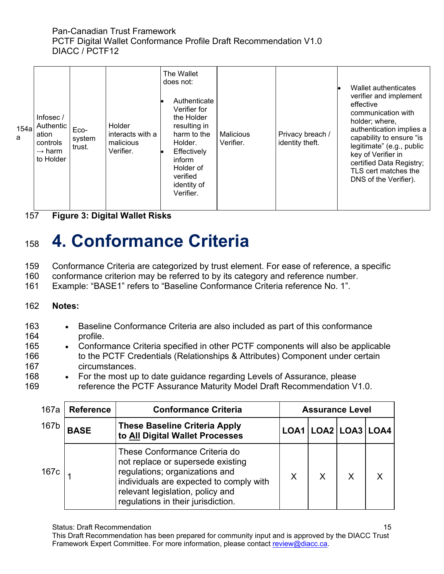| 154a<br>a | Infosec/<br>Authentic<br>ation<br>controls<br>$\rightarrow$ harm<br>to Holder | Eco-<br>system<br>trust. | Holder<br>interacts with a<br>malicious<br>Verifier. | The Wallet<br>does not:<br>Authenticate<br>Verifier for<br>the Holder<br>resulting in<br>harm to the<br>Holder.<br>Effectively<br>inform<br>Holder of<br>verified<br>identity of<br>Verifier. | Malicious<br>Verifier. | Privacy breach /<br>identity theft. | Wallet authenticates<br>verifier and implement<br>effective<br>communication with<br>holder; where,<br>authentication implies a<br>capability to ensure "is<br>legitimate" (e.g., public<br>key of Verifier in<br>certified Data Registry;<br>TLS cert matches the<br>DNS of the Verifier). |
|-----------|-------------------------------------------------------------------------------|--------------------------|------------------------------------------------------|-----------------------------------------------------------------------------------------------------------------------------------------------------------------------------------------------|------------------------|-------------------------------------|---------------------------------------------------------------------------------------------------------------------------------------------------------------------------------------------------------------------------------------------------------------------------------------------|
|-----------|-------------------------------------------------------------------------------|--------------------------|------------------------------------------------------|-----------------------------------------------------------------------------------------------------------------------------------------------------------------------------------------------|------------------------|-------------------------------------|---------------------------------------------------------------------------------------------------------------------------------------------------------------------------------------------------------------------------------------------------------------------------------------------|

157 **Figure 3: Digital Wallet Risks**

# <span id="page-14-0"></span><sup>158</sup> **4. Conformance Criteria**

159 Conformance Criteria are categorized by trust element. For ease of reference, a specific

160 conformance criterion may be referred to by its category and reference number.

161 Example: "BASE1" refers to "Baseline Conformance Criteria reference No. 1".

- 162 **Notes:**
- 163 Baseline Conformance Criteria are also included as part of this conformance 164 profile.
- 165 Conformance Criteria specified in other PCTF components will also be applicable 166 to the PCTF Credentials (Relationships & Attributes) Component under certain 167 circumstances.
- 168 For the most up to date guidance regarding Levels of Assurance, please 169 reference the PCTF Assurance Maturity Model Draft Recommendation V1.0.

| 167a | <b>Reference</b> | <b>Conformance Criteria</b>                                                                                                                                                                                               | <b>Assurance Level</b> |   |   |                           |
|------|------------------|---------------------------------------------------------------------------------------------------------------------------------------------------------------------------------------------------------------------------|------------------------|---|---|---------------------------|
| 167b | <b>BASE</b>      | <b>These Baseline Criteria Apply</b><br>to All Digital Wallet Processes                                                                                                                                                   |                        |   |   | LOA1   LOA2   LOA3   LOA4 |
| 167c |                  | These Conformance Criteria do<br>not replace or supersede existing<br>regulations; organizations and<br>individuals are expected to comply with<br>relevant legislation, policy and<br>regulations in their jurisdiction. | X                      | X | X |                           |

Status: Draft Recommendation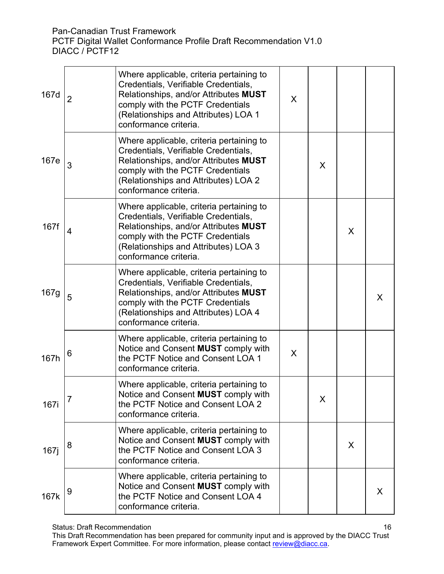PCTF Digital Wallet Conformance Profile Draft Recommendation V1.0 DIACC / PCTF12

| 167d | $\overline{2}$ | Where applicable, criteria pertaining to<br>Credentials, Verifiable Credentials,<br>Relationships, and/or Attributes MUST<br>comply with the PCTF Credentials<br>(Relationships and Attributes) LOA 1<br>conformance criteria. | X |   |   |   |
|------|----------------|--------------------------------------------------------------------------------------------------------------------------------------------------------------------------------------------------------------------------------|---|---|---|---|
| 167e | 3              | Where applicable, criteria pertaining to<br>Credentials, Verifiable Credentials,<br>Relationships, and/or Attributes MUST<br>comply with the PCTF Credentials<br>(Relationships and Attributes) LOA 2<br>conformance criteria. |   | X |   |   |
| 167f | 4              | Where applicable, criteria pertaining to<br>Credentials, Verifiable Credentials,<br>Relationships, and/or Attributes MUST<br>comply with the PCTF Credentials<br>(Relationships and Attributes) LOA 3<br>conformance criteria. |   |   | X |   |
| 167g | 5              | Where applicable, criteria pertaining to<br>Credentials, Verifiable Credentials,<br>Relationships, and/or Attributes MUST<br>comply with the PCTF Credentials<br>(Relationships and Attributes) LOA 4<br>conformance criteria. |   |   |   | X |
| 167h | 6              | Where applicable, criteria pertaining to<br>Notice and Consent MUST comply with<br>the PCTF Notice and Consent LOA 1<br>conformance criteria.                                                                                  | X |   |   |   |
| 167i | 7              | Where applicable, criteria pertaining to<br>Notice and Consent <b>MUST</b> comply with<br>the PCTF Notice and Consent LOA 2<br>conformance criteria.                                                                           |   | X |   |   |
| 167  | 8              | Where applicable, criteria pertaining to<br>Notice and Consent MUST comply with<br>the PCTF Notice and Consent LOA 3<br>conformance criteria.                                                                                  |   |   | X |   |
| 167k | 9              | Where applicable, criteria pertaining to<br>Notice and Consent MUST comply with<br>the PCTF Notice and Consent LOA 4<br>conformance criteria.                                                                                  |   |   |   | X |

Status: Draft Recommendation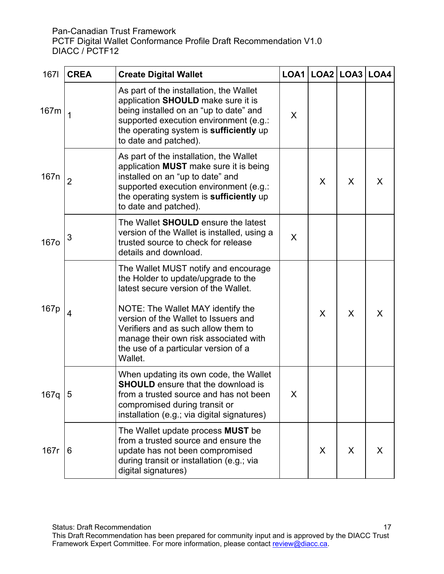| 1671             | <b>CREA</b>    | <b>Create Digital Wallet</b>                                                                                                                                                                                                                                                                                                        |   | $LOA1$ $LOA2$ $LOA3$ $LOA4$ |   |   |
|------------------|----------------|-------------------------------------------------------------------------------------------------------------------------------------------------------------------------------------------------------------------------------------------------------------------------------------------------------------------------------------|---|-----------------------------|---|---|
| 167m             | 1              | As part of the installation, the Wallet<br>application SHOULD make sure it is<br>being installed on an "up to date" and<br>supported execution environment (e.g.:<br>the operating system is sufficiently up<br>to date and patched).                                                                                               | X |                             |   |   |
| 167 <sub>n</sub> | $\overline{2}$ | As part of the installation, the Wallet<br>application MUST make sure it is being<br>installed on an "up to date" and<br>supported execution environment (e.g.:<br>the operating system is sufficiently up<br>to date and patched).                                                                                                 |   | X                           | X | X |
| <b>167o</b>      | 3              | The Wallet <b>SHOULD</b> ensure the latest<br>version of the Wallet is installed, using a<br>trusted source to check for release<br>details and download.                                                                                                                                                                           | X |                             |   |   |
| 167 <sub>p</sub> | 4              | The Wallet MUST notify and encourage<br>the Holder to update/upgrade to the<br>latest secure version of the Wallet.<br>NOTE: The Wallet MAY identify the<br>version of the Wallet to Issuers and<br>Verifiers and as such allow them to<br>manage their own risk associated with<br>the use of a particular version of a<br>Wallet. |   | X                           | X | X |
| 167q $ 5$        |                | When updating its own code, the Wallet<br><b>SHOULD</b> ensure that the download is<br>from a trusted source and has not been<br>compromised during transit or<br>installation (e.g.; via digital signatures)                                                                                                                       | X |                             |   |   |
| 167r             | 6              | The Wallet update process <b>MUST</b> be<br>from a trusted source and ensure the<br>update has not been compromised<br>during transit or installation (e.g.; via<br>digital signatures)                                                                                                                                             |   | X                           | X | X |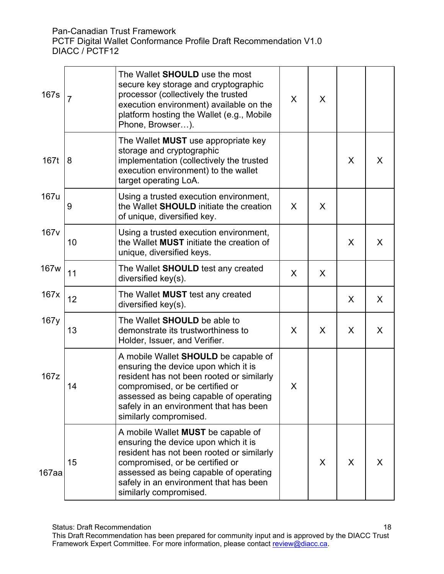| 167s  | $\overline{7}$ | The Wallet <b>SHOULD</b> use the most<br>secure key storage and cryptographic<br>processor (collectively the trusted<br>execution environment) available on the<br>platform hosting the Wallet (e.g., Mobile<br>Phone, Browser).                                                  | X | X |   |   |
|-------|----------------|-----------------------------------------------------------------------------------------------------------------------------------------------------------------------------------------------------------------------------------------------------------------------------------|---|---|---|---|
| 167t  | 8              | The Wallet <b>MUST</b> use appropriate key<br>storage and cryptographic<br>implementation (collectively the trusted<br>execution environment) to the wallet<br>target operating LoA.                                                                                              |   |   | X | X |
| 167u  | 9              | Using a trusted execution environment,<br>the Wallet <b>SHOULD</b> initiate the creation<br>of unique, diversified key.                                                                                                                                                           | X | X |   |   |
| 167v  | 10             | Using a trusted execution environment,<br>the Wallet <b>MUST</b> initiate the creation of<br>unique, diversified keys.                                                                                                                                                            |   |   | X | X |
| 167w  | 11             | The Wallet <b>SHOULD</b> test any created<br>diversified key(s).                                                                                                                                                                                                                  | X | X |   |   |
| 167x  | 12             | The Wallet <b>MUST</b> test any created<br>diversified key(s).                                                                                                                                                                                                                    |   |   | X | X |
| 167y  | 13             | The Wallet <b>SHOULD</b> be able to<br>demonstrate its trustworthiness to<br>Holder, Issuer, and Verifier.                                                                                                                                                                        | X | X | X | X |
| 167z  | 14             | A mobile Wallet <b>SHOULD</b> be capable of<br>ensuring the device upon which it is<br>resident has not been rooted or similarly<br>compromised, or be certified or<br>assessed as being capable of operating<br>safely in an environment that has been<br>similarly compromised. | X |   |   |   |
| 167aa | 15             | A mobile Wallet <b>MUST</b> be capable of<br>ensuring the device upon which it is<br>resident has not been rooted or similarly<br>compromised, or be certified or<br>assessed as being capable of operating<br>safely in an environment that has been<br>similarly compromised.   |   | X | X | X |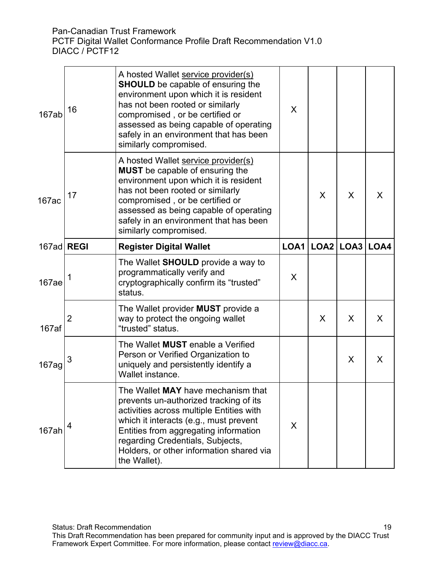| 167ab             | 16 | A hosted Wallet service provider(s)<br><b>SHOULD</b> be capable of ensuring the<br>environment upon which it is resident<br>has not been rooted or similarly<br>compromised, or be certified or<br>assessed as being capable of operating<br>safely in an environment that has been<br>similarly compromised. | X    |   |               |      |
|-------------------|----|---------------------------------------------------------------------------------------------------------------------------------------------------------------------------------------------------------------------------------------------------------------------------------------------------------------|------|---|---------------|------|
| 167ac             | 17 | A hosted Wallet service provider(s)<br><b>MUST</b> be capable of ensuring the<br>environment upon which it is resident<br>has not been rooted or similarly<br>compromised, or be certified or<br>assessed as being capable of operating<br>safely in an environment that has been<br>similarly compromised.   |      | X | X             | X    |
| 167ad REGI        |    | <b>Register Digital Wallet</b>                                                                                                                                                                                                                                                                                | LOA1 |   | $LOA2$ $LOA3$ | LOA4 |
| 167ae             |    | The Wallet SHOULD provide a way to<br>programmatically verify and<br>cryptographically confirm its "trusted"<br>status.                                                                                                                                                                                       | X    |   |               |      |
| 167af             | 2  | The Wallet provider <b>MUST</b> provide a<br>way to protect the ongoing wallet<br>"trusted" status.                                                                                                                                                                                                           |      | X | X             | X    |
| 167 <sub>ag</sub> | 3  | The Wallet <b>MUST</b> enable a Verified<br>Person or Verified Organization to<br>uniquely and persistently identify a<br>Wallet instance.                                                                                                                                                                    |      |   | X             | X    |
| 167ah             | 4  | The Wallet MAY have mechanism that<br>prevents un-authorized tracking of its<br>activities across multiple Entities with<br>which it interacts (e.g., must prevent<br>Entities from aggregating information<br>regarding Credentials, Subjects,<br>Holders, or other information shared via<br>the Wallet).   | X    |   |               |      |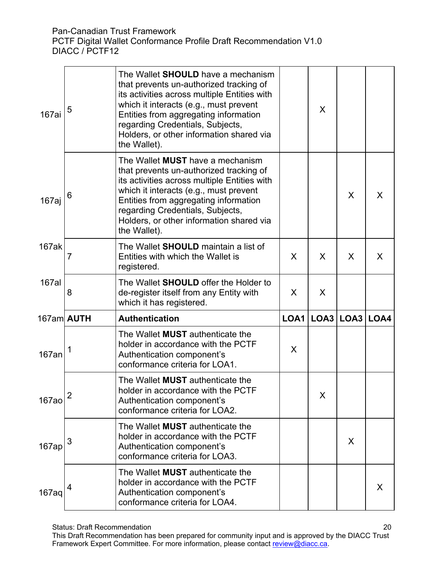| 167ai        | 5            | The Wallet <b>SHOULD</b> have a mechanism<br>that prevents un-authorized tracking of<br>its activities across multiple Entities with<br>which it interacts (e.g., must prevent<br>Entities from aggregating information<br>regarding Credentials, Subjects,<br>Holders, or other information shared via<br>the Wallet). |      | X    |               |   |
|--------------|--------------|-------------------------------------------------------------------------------------------------------------------------------------------------------------------------------------------------------------------------------------------------------------------------------------------------------------------------|------|------|---------------|---|
| 167aj        | 6            | The Wallet <b>MUST</b> have a mechanism<br>that prevents un-authorized tracking of<br>its activities across multiple Entities with<br>which it interacts (e.g., must prevent<br>Entities from aggregating information<br>regarding Credentials, Subjects,<br>Holders, or other information shared via<br>the Wallet).   |      |      | X             | X |
| 167ak        | 7            | The Wallet SHOULD maintain a list of<br>Entities with which the Wallet is<br>registered.                                                                                                                                                                                                                                | X    | X    | X             | X |
| <b>167al</b> | 8            | The Wallet <b>SHOULD</b> offer the Holder to<br>de-register itself from any Entity with<br>which it has registered.                                                                                                                                                                                                     | X    | X    |               |   |
| 167am AUTH   |              | <b>Authentication</b>                                                                                                                                                                                                                                                                                                   | LOA1 | LOA3 | $LOA3$ $LOA4$ |   |
|              |              | The Wallet <b>MUST</b> authenticate the                                                                                                                                                                                                                                                                                 |      |      |               |   |
| 167an        |              | holder in accordance with the PCTF<br>Authentication component's<br>conformance criteria for LOA1.                                                                                                                                                                                                                      | X    |      |               |   |
| <b>167ao</b> | $\mathbf{z}$ | The Wallet MUST authenticate the<br>holder in accordance with the PCTF<br>Authentication component's<br>conformance criteria for LOA2.                                                                                                                                                                                  |      | X    |               |   |
| 167ap        | 3            | The Wallet <b>MUST</b> authenticate the<br>holder in accordance with the PCTF<br>Authentication component's<br>conformance criteria for LOA3.                                                                                                                                                                           |      |      | X             |   |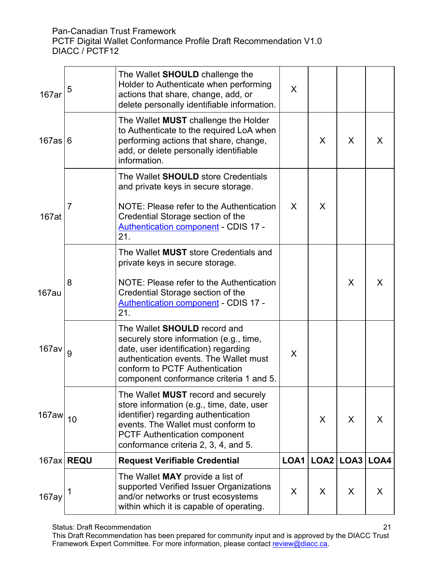| 167ar        | 5            | The Wallet SHOULD challenge the<br>Holder to Authenticate when performing<br>actions that share, change, add, or<br>delete personally identifiable information.                                                                                | X    |      |      |      |
|--------------|--------------|------------------------------------------------------------------------------------------------------------------------------------------------------------------------------------------------------------------------------------------------|------|------|------|------|
| 167as 6      |              | The Wallet <b>MUST</b> challenge the Holder<br>to Authenticate to the required LoA when<br>performing actions that share, change,<br>add, or delete personally identifiable<br>information.                                                    |      | X    | X    | X    |
| 167at        | 7            | The Wallet <b>SHOULD</b> store Credentials<br>and private keys in secure storage.<br>NOTE: Please refer to the Authentication<br>Credential Storage section of the<br>Authentication component - CDIS 17 -<br>21.                              | X    | X    |      |      |
| 167au        | 8            | The Wallet <b>MUST</b> store Credentials and<br>private keys in secure storage.<br>NOTE: Please refer to the Authentication<br>Credential Storage section of the<br><b>Authentication component - CDIS 17 -</b><br>21.                         |      |      | X    | X    |
| <b>167av</b> | 9            | The Wallet <b>SHOULD</b> record and<br>securely store information (e.g., time,<br>date, user identification) regarding<br>authentication events. The Wallet must<br>conform to PCTF Authentication<br>component conformance criteria 1 and 5.  | X    |      |      |      |
| $167$ aw     | 10           | The Wallet MUST record and securely<br>store information (e.g., time, date, user<br>identifier) regarding authentication<br>events. The Wallet must conform to<br><b>PCTF Authentication component</b><br>conformance criteria 2, 3, 4, and 5. |      | X    | X    | X    |
|              | 167ax   REQU | <b>Request Verifiable Credential</b>                                                                                                                                                                                                           | LOA1 | LOA2 | LOA3 | LOA4 |
| 167ay        | 1            | The Wallet <b>MAY</b> provide a list of<br>supported Verified Issuer Organizations<br>and/or networks or trust ecosystems<br>within which it is capable of operating.                                                                          | X    | X    | X    | X    |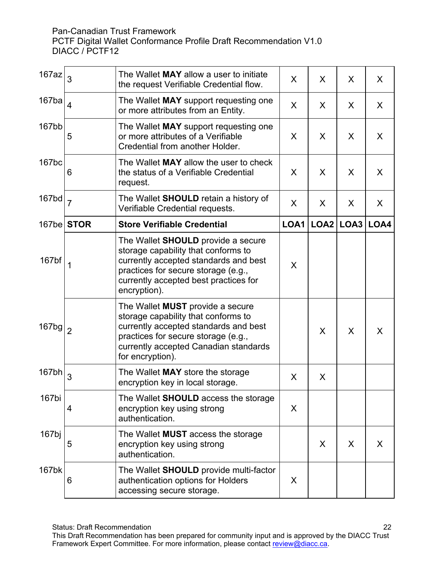| $167$ az          | 3              | The Wallet MAY allow a user to initiate<br>the request Verifiable Credential flow.                                                                                                                                          | X    | X                | X    | X.           |
|-------------------|----------------|-----------------------------------------------------------------------------------------------------------------------------------------------------------------------------------------------------------------------------|------|------------------|------|--------------|
| 167ba             | $\overline{4}$ | The Wallet MAY support requesting one<br>or more attributes from an Entity.                                                                                                                                                 | X    | X                | X    | X            |
| 167bb             | 5              | The Wallet MAY support requesting one<br>or more attributes of a Verifiable<br>Credential from another Holder.                                                                                                              | X    | X                | X    | X            |
| 167 <sub>bc</sub> | 6              | The Wallet MAY allow the user to check<br>the status of a Verifiable Credential<br>request.                                                                                                                                 | X    | X                | X    | X            |
| 167bd             | $\overline{7}$ | The Wallet <b>SHOULD</b> retain a history of<br>Verifiable Credential requests.                                                                                                                                             | X    | X                | X    | $\mathsf{X}$ |
|                   | $167$ be STOR  | <b>Store Verifiable Credential</b>                                                                                                                                                                                          | LOA1 | LOA <sub>2</sub> | LOA3 | LOA4         |
| 167bf             | $\mathbf 1$    | The Wallet <b>SHOULD</b> provide a secure<br>storage capability that conforms to<br>currently accepted standards and best<br>practices for secure storage (e.g.,<br>currently accepted best practices for<br>encryption).   | X    |                  |      |              |
| 167bg             | $\overline{2}$ | The Wallet <b>MUST</b> provide a secure<br>storage capability that conforms to<br>currently accepted standards and best<br>practices for secure storage (e.g.,<br>currently accepted Canadian standards<br>for encryption). |      | X                | X    | X            |
| 167 <sub>bh</sub> | 3              | The Wallet MAY store the storage<br>encryption key in local storage.                                                                                                                                                        | X    | X                |      |              |
| 167bi             | 4              | The Wallet <b>SHOULD</b> access the storage<br>encryption key using strong<br>authentication.                                                                                                                               | X    |                  |      |              |
| 167bj             | 5              | The Wallet <b>MUST</b> access the storage<br>encryption key using strong<br>authentication.                                                                                                                                 |      | X                | X    | X.           |
| 167bk             | 6              | The Wallet <b>SHOULD</b> provide multi-factor<br>authentication options for Holders<br>accessing secure storage.                                                                                                            | X    |                  |      |              |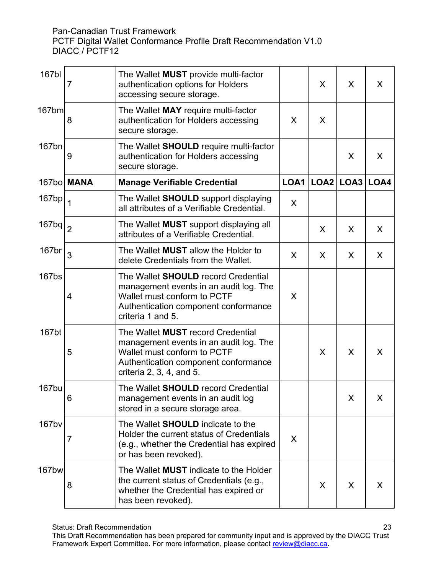| 167bl                         | 7          | The Wallet <b>MUST</b> provide multi-factor<br>authentication options for Holders<br>accessing secure storage.                                                                      |      | X | X             | X    |
|-------------------------------|------------|-------------------------------------------------------------------------------------------------------------------------------------------------------------------------------------|------|---|---------------|------|
| 167 <sub>bm</sub>             | 8          | The Wallet MAY require multi-factor<br>authentication for Holders accessing<br>secure storage.                                                                                      | X    | X |               |      |
| 167bn                         | 9          | The Wallet SHOULD require multi-factor<br>authentication for Holders accessing<br>secure storage.                                                                                   |      |   | X             | X    |
|                               | 167bo MANA | <b>Manage Verifiable Credential</b>                                                                                                                                                 | LOA1 |   | $LOA2$ $LOA3$ | LOA4 |
| 167bp                         | 1          | The Wallet SHOULD support displaying<br>all attributes of a Verifiable Credential.                                                                                                  | X    |   |               |      |
| $167$ bq $\vert$ <sub>2</sub> |            | The Wallet <b>MUST</b> support displaying all<br>attributes of a Verifiable Credential.                                                                                             |      | X | X             | X    |
| 167br                         | 3          | The Wallet <b>MUST</b> allow the Holder to<br>delete Credentials from the Wallet.                                                                                                   | X    | X | X             | X    |
| <b>167bs</b>                  | 4          | The Wallet SHOULD record Credential<br>management events in an audit log. The<br>Wallet must conform to PCTF<br>Authentication component conformance<br>criteria 1 and 5.           | X    |   |               |      |
| 167 <sub>bt</sub>             | 5          | The Wallet MUST record Credential<br>management events in an audit log. The<br>Wallet must conform to PCTF<br>Authentication component conformance<br>criteria $2, 3, 4$ , and $5.$ |      | X | X             | X    |
| 167bu                         | 6          | The Wallet <b>SHOULD</b> record Credential<br>management events in an audit log<br>stored in a secure storage area.                                                                 |      |   | X             | X    |
| 167bv                         | 7          | The Wallet <b>SHOULD</b> indicate to the<br>Holder the current status of Credentials<br>(e.g., whether the Credential has expired<br>or has been revoked).                          | X    |   |               |      |
| <b>167bw</b>                  | 8          | The Wallet <b>MUST</b> indicate to the Holder<br>the current status of Credentials (e.g.,<br>whether the Credential has expired or<br>has been revoked).                            |      | X | X             | X    |

This Draft Recommendation has been prepared for community input and is approved by the DIACC Trust Framework Expert Committee. For more information, please contact <u>review@diacc.ca</u>.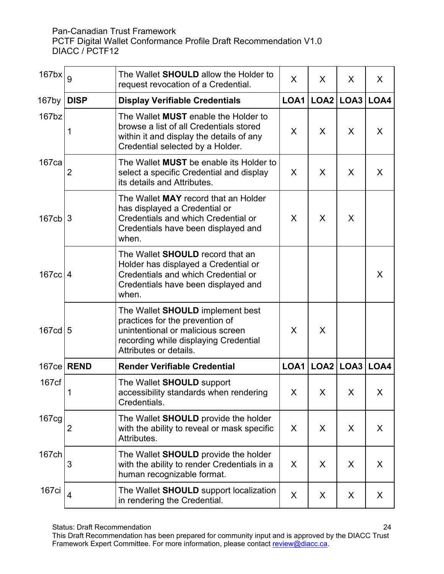| $167$ bx             | 9           | The Wallet <b>SHOULD</b> allow the Holder to<br>request revocation of a Credential.                                                                                         | $\sf X$ | X | X                    | X |
|----------------------|-------------|-----------------------------------------------------------------------------------------------------------------------------------------------------------------------------|---------|---|----------------------|---|
| $167$ by             | <b>DISP</b> | <b>Display Verifiable Credentials</b>                                                                                                                                       | LOA1    |   | LOA2   LOA3   LOA4   |   |
| $167$ <sub>bz</sub>  | 1           | The Wallet MUST enable the Holder to<br>browse a list of all Credentials stored<br>within it and display the details of any<br>Credential selected by a Holder.             | X       | X | X                    | X |
| 167 <sub>ca</sub>    | 2           | The Wallet MUST be enable its Holder to<br>select a specific Credential and display<br>its details and Attributes.                                                          | X       | X | X                    | X |
| $167cb$   3          |             | The Wallet MAY record that an Holder<br>has displayed a Credential or<br>Credentials and which Credential or<br>Credentials have been displayed and<br>when.                | X       | X | X                    |   |
| $167cc$ 4            |             | The Wallet <b>SHOULD</b> record that an<br>Holder has displayed a Credential or<br>Credentials and which Credential or<br>Credentials have been displayed and<br>when.      |         |   |                      | X |
| $167cd$ <sub>5</sub> |             | The Wallet SHOULD implement best<br>practices for the prevention of<br>unintentional or malicious screen<br>recording while displaying Credential<br>Attributes or details. | X       | X |                      |   |
| 167 <sub>ce</sub>    | <b>REND</b> | <b>Render Verifiable Credential</b>                                                                                                                                         | LOA1    |   | $LOA2$ $LOA3$ $LOA4$ |   |
| 167 <sub>cf</sub>    |             | The Wallet SHOULD support<br>accessibility standards when rendering<br>Credentials.                                                                                         | X       | X | $\mathsf{X}$         | X |
| 167cg                | 2           | The Wallet <b>SHOULD</b> provide the holder<br>with the ability to reveal or mask specific<br>Attributes.                                                                   | X       | X | X                    | X |
| 167ch                | 3           | The Wallet SHOULD provide the holder<br>with the ability to render Credentials in a<br>human recognizable format.                                                           | X       | X | X                    | X |
| 167ci                | 4           | The Wallet SHOULD support localization<br>in rendering the Credential.                                                                                                      | X       | X | X                    | X |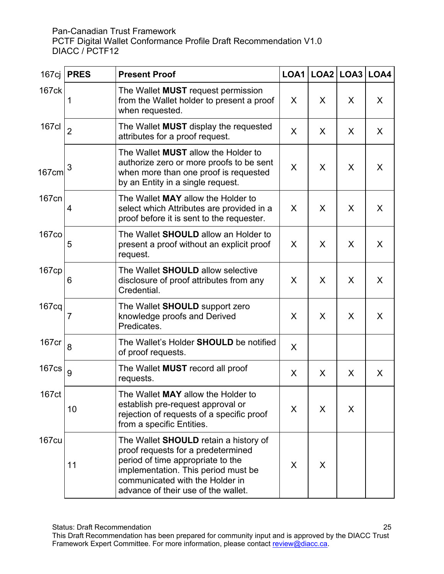| 167cj             | <b>PRES</b>    | <b>Present Proof</b>                                                                                                                                                                                                                     |   | LOA1   LOA2   LOA3   LOA4 |   |         |
|-------------------|----------------|------------------------------------------------------------------------------------------------------------------------------------------------------------------------------------------------------------------------------------------|---|---------------------------|---|---------|
| 167ck             | 1              | The Wallet <b>MUST</b> request permission<br>from the Wallet holder to present a proof<br>when requested.                                                                                                                                | X | X                         | X | $\sf X$ |
| 167cl             | $\overline{2}$ | The Wallet <b>MUST</b> display the requested<br>attributes for a proof request.                                                                                                                                                          | X | X                         | X | X       |
| 167cm             | 3              | The Wallet <b>MUST</b> allow the Holder to<br>authorize zero or more proofs to be sent<br>when more than one proof is requested<br>by an Entity in a single request.                                                                     | X | X                         | X | X.      |
| 167cn             | $\overline{4}$ | The Wallet MAY allow the Holder to<br>select which Attributes are provided in a<br>proof before it is sent to the requester.                                                                                                             | X | X                         | X | X       |
| <b>167co</b>      | 5              | The Wallet <b>SHOULD</b> allow an Holder to<br>present a proof without an explicit proof<br>request.                                                                                                                                     | X | X                         | X | X       |
| 167cp             | 6              | The Wallet <b>SHOULD</b> allow selective<br>disclosure of proof attributes from any<br>Credential.                                                                                                                                       | X | X                         | X | X       |
| 167 <sub>cq</sub> | 7              | The Wallet SHOULD support zero<br>knowledge proofs and Derived<br>Predicates.                                                                                                                                                            | X | X                         | X | $\sf X$ |
| 167cr             | 8              | The Wallet's Holder <b>SHOULD</b> be notified<br>of proof requests.                                                                                                                                                                      | X |                           |   |         |
| <b>167cs</b>      | 9              | The Wallet <b>MUST</b> record all proof<br>requests.                                                                                                                                                                                     | X | X                         | X | X       |
| 167ct             | 10             | The Wallet MAY allow the Holder to<br>establish pre-request approval or<br>rejection of requests of a specific proof<br>from a specific Entities.                                                                                        | X | X                         | X |         |
| <b>167cu</b>      | 11             | The Wallet <b>SHOULD</b> retain a history of<br>proof requests for a predetermined<br>period of time appropriate to the<br>implementation. This period must be<br>communicated with the Holder in<br>advance of their use of the wallet. | X | X                         |   |         |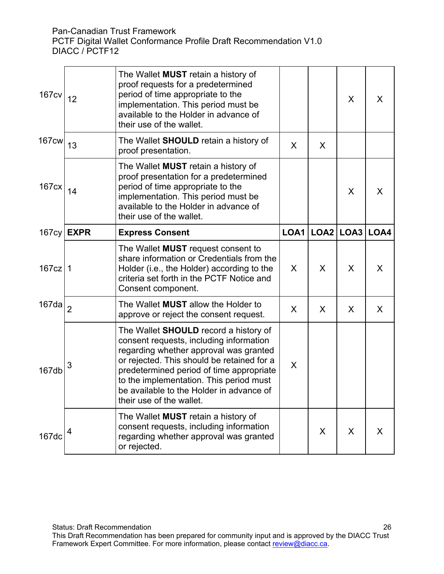| <b>167cv</b>      | 12                  | The Wallet <b>MUST</b> retain a history of<br>proof requests for a predetermined<br>period of time appropriate to the<br>implementation. This period must be<br>available to the Holder in advance of<br>their use of the wallet.                                                                                                              |      |           | X | X.      |
|-------------------|---------------------|------------------------------------------------------------------------------------------------------------------------------------------------------------------------------------------------------------------------------------------------------------------------------------------------------------------------------------------------|------|-----------|---|---------|
| $167$ cw          | 13                  | The Wallet <b>SHOULD</b> retain a history of<br>proof presentation.                                                                                                                                                                                                                                                                            | X    | X         |   |         |
| 167 <sub>cx</sub> | 14                  | The Wallet <b>MUST</b> retain a history of<br>proof presentation for a predetermined<br>period of time appropriate to the<br>implementation. This period must be<br>available to the Holder in advance of<br>their use of the wallet.                                                                                                          |      |           | X | X       |
|                   | $167cy$ <b>EXPR</b> | <b>Express Consent</b>                                                                                                                                                                                                                                                                                                                         | LOA1 | LOG2 LOG3 |   | LOA4    |
| $167cz$   1       |                     | The Wallet <b>MUST</b> request consent to<br>share information or Credentials from the<br>Holder (i.e., the Holder) according to the<br>criteria set forth in the PCTF Notice and<br>Consent component.                                                                                                                                        | X    | X         | X | X       |
| 167 <sub>da</sub> | $\overline{2}$      | The Wallet MUST allow the Holder to<br>approve or reject the consent request.                                                                                                                                                                                                                                                                  | X    | X         | X | $\sf X$ |
| 167db             | 3                   | The Wallet <b>SHOULD</b> record a history of<br>consent requests, including information<br>regarding whether approval was granted<br>or rejected. This should be retained for a<br>predetermined period of time appropriate<br>to the implementation. This period must<br>be available to the Holder in advance of<br>their use of the wallet. | X    |           |   |         |
| 167dc             | 4                   | The Wallet <b>MUST</b> retain a history of<br>consent requests, including information<br>regarding whether approval was granted<br>or rejected.                                                                                                                                                                                                |      | X         | X | $\sf X$ |